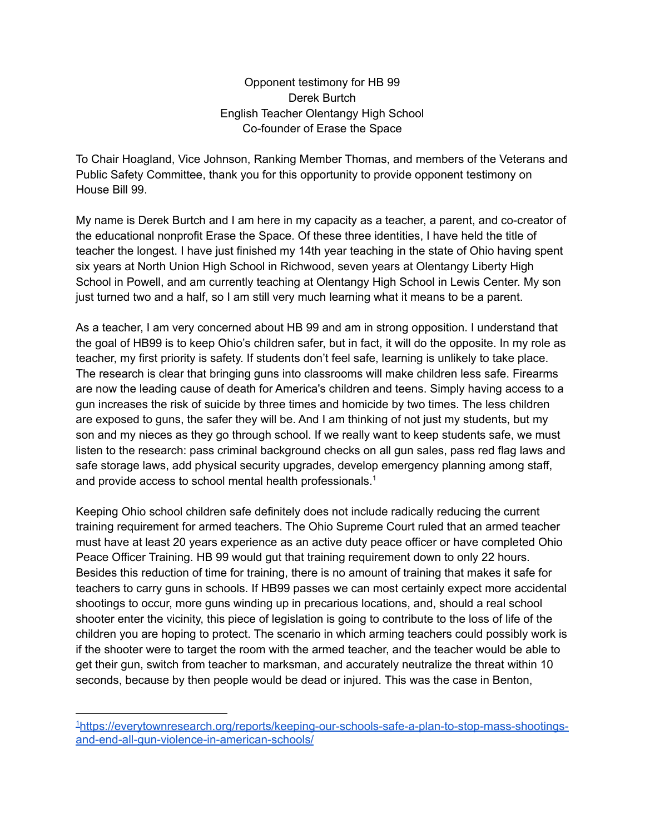Opponent testimony for HB 99 Derek Burtch English Teacher Olentangy High School Co-founder of Erase the Space

To Chair Hoagland, Vice Johnson, Ranking Member Thomas, and members of the Veterans and Public Safety Committee, thank you for this opportunity to provide opponent testimony on House Bill 99.

My name is Derek Burtch and I am here in my capacity as a teacher, a parent, and co-creator of the educational nonprofit Erase the Space. Of these three identities, I have held the title of teacher the longest. I have just finished my 14th year teaching in the state of Ohio having spent six years at North Union High School in Richwood, seven years at Olentangy Liberty High School in Powell, and am currently teaching at Olentangy High School in Lewis Center. My son just turned two and a half, so I am still very much learning what it means to be a parent.

As a teacher, I am very concerned about HB 99 and am in strong opposition. I understand that the goal of HB99 is to keep Ohio's children safer, but in fact, it will do the opposite. In my role as teacher, my first priority is safety. If students don't feel safe, learning is unlikely to take place. The research is clear that bringing guns into classrooms will make children less safe. Firearms are now the leading cause of death for America's children and teens. Simply having access to a gun increases the risk of suicide by three times and homicide by two times. The less children are exposed to guns, the safer they will be. And I am thinking of not just my students, but my son and my nieces as they go through school. If we really want to keep students safe, we must listen to the research: pass criminal background checks on all gun sales, pass red flag laws and safe storage laws, add physical security upgrades, develop emergency planning among staff, and provide access to school mental health professionals. 1

Keeping Ohio school children safe definitely does not include radically reducing the current training requirement for armed teachers. The Ohio Supreme Court ruled that an armed teacher must have at least 20 years experience as an active duty peace officer or have completed Ohio Peace Officer Training. HB 99 would gut that training requirement down to only 22 hours. Besides this reduction of time for training, there is no amount of training that makes it safe for teachers to carry guns in schools. If HB99 passes we can most certainly expect more accidental shootings to occur, more guns winding up in precarious locations, and, should a real school shooter enter the vicinity, this piece of legislation is going to contribute to the loss of life of the children you are hoping to protect. The scenario in which arming teachers could possibly work is if the shooter were to target the room with the armed teacher, and the teacher would be able to get their gun, switch from teacher to marksman, and accurately neutralize the threat within 10 seconds, because by then people would be dead or injured. This was the case in Benton,

<sup>1</sup>[https://everytownresearch.org/reports/keeping-our-schools-safe-a-plan-to-stop-mass-shootings](https://everytownresearch.org/reports/keeping-our-schools-safe-a-plan-to-stop-mass-shootings-and-end-all-gun-violence-in-american-schools/)[and-end-all-gun-violence-in-american-schools/](https://everytownresearch.org/reports/keeping-our-schools-safe-a-plan-to-stop-mass-shootings-and-end-all-gun-violence-in-american-schools/)